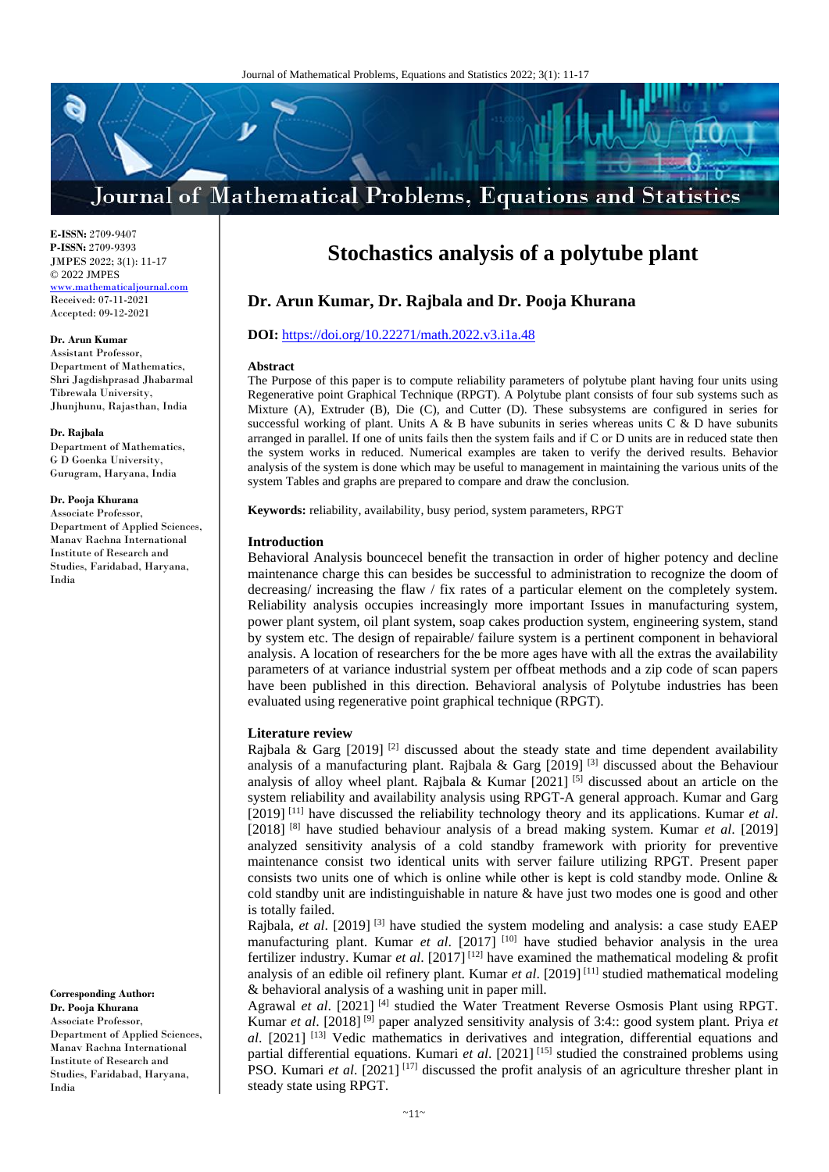## Journal of Mathematical Problems, Equations and Statistics

**E-ISSN:** 2709-9407 **P-ISSN:** 2709-9393 JMPES 2022; 3(1): 11-17 © 2022 JMPES <www.mathematicaljournal.com> Received: 07-11-2021 Accepted: 09-12-2021

## **Dr. Arun Kumar**

Assistant Professor, Department of Mathematics, Shri Jagdishprasad Jhabarmal Tibrewala University, Jhunjhunu, Rajasthan, India

**Dr. Rajbala**

Department of Mathematics, G D Goenka University, Gurugram, Haryana, India

## **Dr. Pooja Khurana**

Associate Professor, Department of Applied Sciences, Manav Rachna International Institute of Research and Studies, Faridabad, Haryana, India

**Corresponding Author: Dr. Pooja Khurana** Associate Professor, Department of Applied Sciences, Manav Rachna International Institute of Research and Studies, Faridabad, Haryana, India

## **Stochastics analysis of a polytube plant**

## **Dr. Arun Kumar, Dr. Rajbala and Dr. Pooja Khurana**

## **DOI:** <https://doi.org/10.22271/math.2022.v3.i1a.48>

#### **Abstract**

The Purpose of this paper is to compute reliability parameters of polytube plant having four units using Regenerative point Graphical Technique (RPGT). A Polytube plant consists of four sub systems such as Mixture (A), Extruder (B), Die (C), and Cutter (D). These subsystems are configured in series for successful working of plant. Units A & B have subunits in series whereas units  $C \& D$  have subunits arranged in parallel. If one of units fails then the system fails and if C or D units are in reduced state then the system works in reduced. Numerical examples are taken to verify the derived results. Behavior analysis of the system is done which may be useful to management in maintaining the various units of the system Tables and graphs are prepared to compare and draw the conclusion.

**Keywords:** reliability, availability, busy period, system parameters, RPGT

#### **Introduction**

Behavioral Analysis bouncecel benefit the transaction in order of higher potency and decline maintenance charge this can besides be successful to administration to recognize the doom of decreasing/ increasing the flaw / fix rates of a particular element on the completely system. Reliability analysis occupies increasingly more important Issues in manufacturing system, power plant system, oil plant system, soap cakes production system, engineering system, stand by system etc. The design of repairable/ failure system is a pertinent component in behavioral analysis. A location of researchers for the be more ages have with all the extras the availability parameters of at variance industrial system per offbeat methods and a zip code of scan papers have been published in this direction. Behavioral analysis of Polytube industries has been evaluated using regenerative point graphical technique (RPGT).

#### **Literature review**

Rajbala & Garg  $[2019]$  <sup>[2]</sup> discussed about the steady state and time dependent availability analysis of a manufacturing plant. Rajbala & Garg  $[2019]$ <sup>[3]</sup> discussed about the Behaviour analysis of alloy wheel plant. Rajbala & Kumar  $[2021]$ <sup>[5]</sup> discussed about an article on the system reliability and availability analysis using RPGT-A general approach. Kumar and Garg [2019] [11] have discussed the reliability technology theory and its applications. Kumar *et al*. [2018] [8] have studied behaviour analysis of a bread making system. Kumar *et al*. [2019] analyzed sensitivity analysis of a cold standby framework with priority for preventive maintenance consist two identical units with server failure utilizing RPGT. Present paper consists two units one of which is online while other is kept is cold standby mode. Online  $\&$ cold standby unit are indistinguishable in nature & have just two modes one is good and other is totally failed.

Rajbala, *et al*. [2019] [3] have studied the system modeling and analysis: a case study EAEP manufacturing plant. Kumar *et al.* [2017]<sup>[10]</sup> have studied behavior analysis in the urea fertilizer industry. Kumar *et al*. [2017] [12] have examined the mathematical modeling & profit analysis of an edible oil refinery plant. Kumar *et al*. [2019] [11] studied mathematical modeling & behavioral analysis of a washing unit in paper mill.

Agrawal *et al.* [2021]<sup>[4]</sup> studied the Water Treatment Reverse Osmosis Plant using RPGT. Kumar *et al*. [2018] [9] paper analyzed sensitivity analysis of 3:4:: good system plant. Priya *et al*. [2021] [13] Vedic mathematics in derivatives and integration, differential equations and partial differential equations. Kumari *et al*. [2021] [15] studied the constrained problems using PSO. Kumari *et al*. [2021] [17] discussed the profit analysis of an agriculture thresher plant in steady state using RPGT.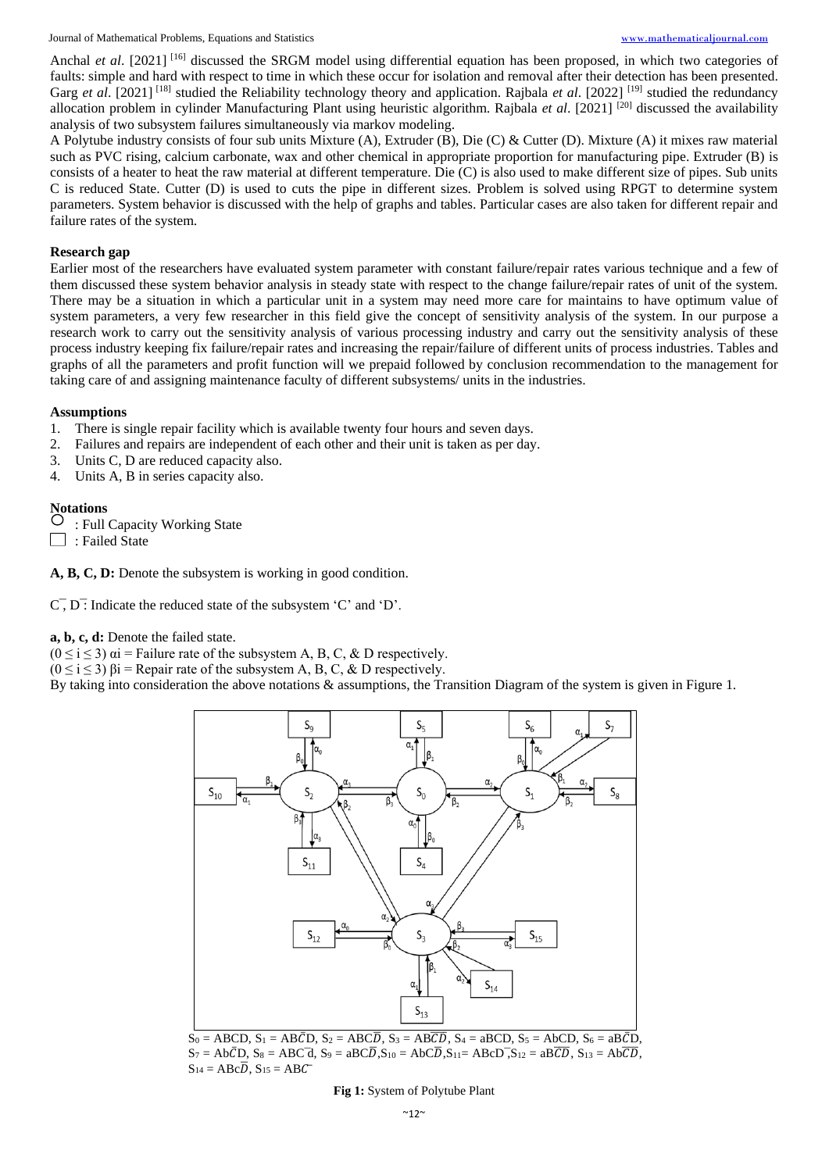Journal of Mathematical Problems, Equations and Statistics [www.mathematicaljournal.com](file://///server/test/mathematicaljournal.com/issue/1%20Vol/1%20issue/www.mathematicaljournal.com)

Anchal *et al.* [2021] <sup>[16]</sup> discussed the SRGM model using differential equation has been proposed, in which two categories of faults: simple and hard with respect to time in which these occur for isolation and removal after their detection has been presented. Garg et al. [2021]<sup>[18]</sup> studied the Reliability technology theory and application. Rajbala et al. [2022]<sup>[19]</sup> studied the redundancy allocation problem in cylinder Manufacturing Plant using heuristic algorithm. Rajbala *et al*. [2021] [20] discussed the availability analysis of two subsystem failures simultaneously via markov modeling.

A Polytube industry consists of four sub units Mixture (A), Extruder (B), Die (C) & Cutter (D). Mixture (A) it mixes raw material such as PVC rising, calcium carbonate, wax and other chemical in appropriate proportion for manufacturing pipe. Extruder (B) is consists of a heater to heat the raw material at different temperature. Die (C) is also used to make different size of pipes. Sub units C is reduced State. Cutter (D) is used to cuts the pipe in different sizes. Problem is solved using RPGT to determine system parameters. System behavior is discussed with the help of graphs and tables. Particular cases are also taken for different repair and failure rates of the system.

## **Research gap**

Earlier most of the researchers have evaluated system parameter with constant failure/repair rates various technique and a few of them discussed these system behavior analysis in steady state with respect to the change failure/repair rates of unit of the system. There may be a situation in which a particular unit in a system may need more care for maintains to have optimum value of system parameters, a very few researcher in this field give the concept of sensitivity analysis of the system. In our purpose a research work to carry out the sensitivity analysis of various processing industry and carry out the sensitivity analysis of these process industry keeping fix failure/repair rates and increasing the repair/failure of different units of process industries. Tables and graphs of all the parameters and profit function will we prepaid followed by conclusion recommendation to the management for taking care of and assigning maintenance faculty of different subsystems/ units in the industries.

## **Assumptions**

- 1. There is single repair facility which is available twenty four hours and seven days.
- 2. Failures and repairs are independent of each other and their unit is taken as per day.
- 3. Units C, D are reduced capacity also.
- 4. Units A, B in series capacity also.

# **Notations**

: Full Capacity Working State

: Failed State

**A, B, C, D:** Denote the subsystem is working in good condition.

 $\overline{C}$ ,  $\overline{D}$ . Indicate the reduced state of the subsystem 'C' and 'D'.

#### **a, b, c, d:** Denote the failed state.

 $(0 \le i \le 3)$   $\alpha i$  = Failure rate of the subsystem A, B, C, & D respectively.

 $(0 \le i \le 3)$   $\beta i$  = Repair rate of the subsystem A, B, C, & D respectively.

By taking into consideration the above notations & assumptions, the Transition Diagram of the system is given in Figure 1.



 $S_0 = ABCD$ ,  $S_1 = AB\overline{CD}$ ,  $S_2 = ABC\overline{D}$ ,  $S_3 = AB\overline{CD}$ ,  $S_4 = ABCD$ ,  $S_5 = ABCD$ ,  $S_6 = AB\overline{CD}$ ,  $S_7 = Ab\bar{CD}$ ,  $S_8 = ABC\bar{d}$ ,  $S_9 = aBC\bar{D}$ ,  $S_{10} = Ab\bar{CD}$ ,  $S_{11} = ABC\bar{D}$ ,  $S_{12} = a\bar{BC}\bar{D}$ ,  $S_{13} = Ab\bar{CD}$ ,  $S_{14} = ABC\overline{D}$ ,  $S_{15} = ABC$ 

#### **Fig 1:** System of Polytube Plant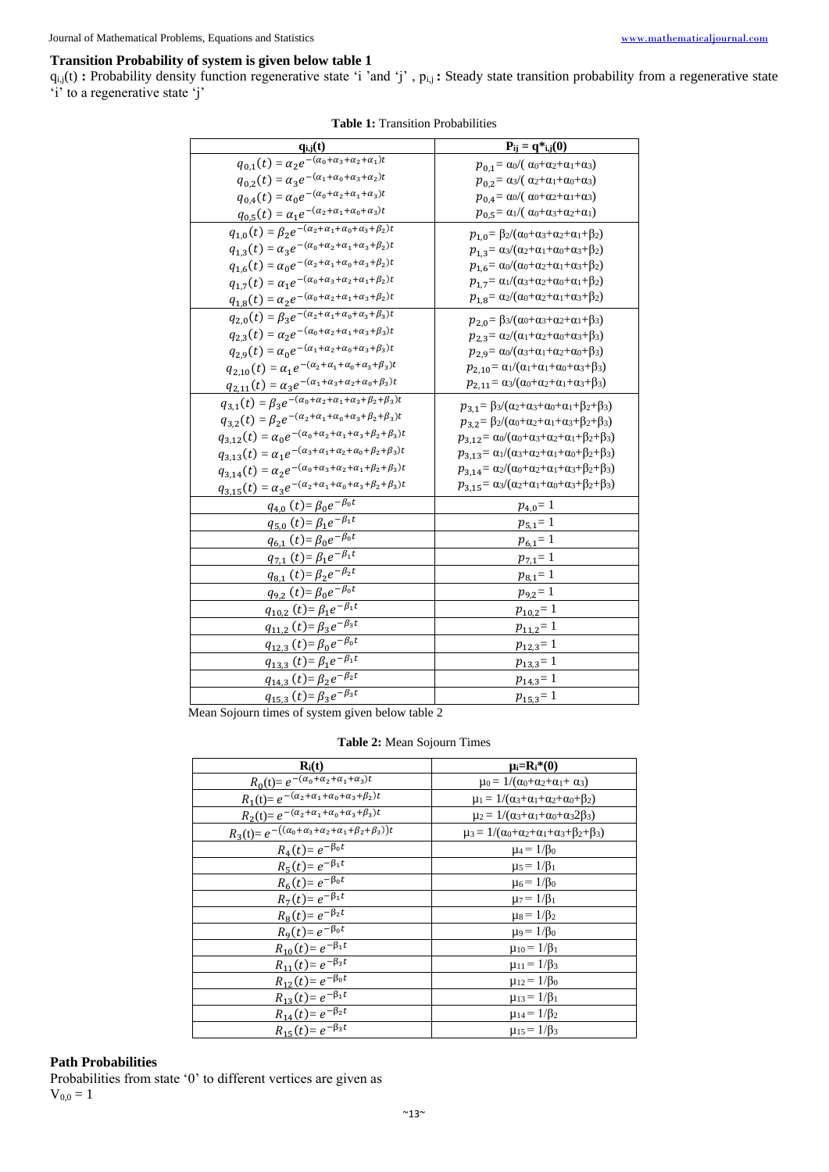## **Transition Probability of system is given below table 1**

 $q_{i,j}(t)$ : Probability density function regenerative state 'i 'and 'j',  $p_{i,j}$ : Steady state transition probability from a regenerative state 'i' to a regenerative state 'j'

| $q_{i,j}(t)$                                                                                            | $P_{ij} = q *_{i,j}(0)$                                                               |
|---------------------------------------------------------------------------------------------------------|---------------------------------------------------------------------------------------|
| $q_{0,1}(t) = \alpha_2 e^{-\frac{(a_0 + a_3 + a_2 + a_1)t}{t}}$                                         | $p_{0,1} = \alpha_0 / (\alpha_0 + \alpha_2 + \alpha_1 + \alpha_3)$                    |
| $q_{0,2}(t) = \alpha_3 e^{-(\alpha_1 + \alpha_0 + \alpha_3 + \alpha_2)t}$                               | $p_{0,2} = \alpha_3/(\alpha_2 + \alpha_1 + \alpha_0 + \alpha_3)$                      |
| $q_{0,4}(t) = \alpha_0 e^{-(\alpha_0 + \alpha_2 + \alpha_1 + \alpha_3)t}$                               | $p_{0,4} = \alpha_0 / (\alpha_0 + \alpha_2 + \alpha_1 + \alpha_3)$                    |
| $q_{0,5}(t) = \alpha_1 e^{-(\alpha_2 + \alpha_1 + \alpha_0 + \alpha_3)t}$                               | $p_{0,5} = \alpha_1/(\alpha_0 + \alpha_3 + \alpha_2 + \alpha_1)$                      |
| $q_{1,0}(t) = \sqrt{\beta_2 e^{-(\alpha_2 + \alpha_1 + \alpha_0 + \alpha_3 + \beta_2)t}}$               | $p_{1,0} = \beta_2/(\alpha_0+\alpha_3+\alpha_2+\alpha_1+\beta_2)$                     |
| $q_{1,3}(t) = \alpha_3 e^{-(\alpha_0 + \alpha_2 + \alpha_1 + \alpha_3 + \beta_2)t}$                     | $p_{1,3} = \alpha_3/(\alpha_2 + \alpha_1 + \alpha_0 + \alpha_3 + \beta_2)$            |
| $q_{1,6}(t) = \alpha_0 e^{-(\alpha_2 + \alpha_1 + \alpha_0 + \alpha_3 + \beta_2)t}$                     | $p_{1,6} = \alpha_0/(\alpha_0 + \alpha_2 + \alpha_1 + \alpha_3 + \beta_2)$            |
| $q_{1,7}(t) = \alpha_1 e^{-(\alpha_0 + \alpha_3 + \alpha_2 + \alpha_1 + \beta_2)t}$                     | $p_{1,7} = \alpha_1/(\alpha_3 + \alpha_2 + \alpha_0 + \alpha_1 + \beta_2)$            |
| $q_{1,8}(t) = \alpha_2 e^{-(\alpha_0 + \alpha_2 + \alpha_1 + \alpha_3 + \beta_2)t}$                     | $p_{1,8} = \alpha_2/(\alpha_0 + \alpha_2 + \alpha_1 + \alpha_3 + \beta_2)$            |
| $q_{2,0}(t) = \sqrt{\beta_3 e^{-(\alpha_2 + \alpha_1 + \alpha_0 + \alpha_3 + \beta_3)t}}$               | $p_{2,0} = \beta_3/(\alpha_0+\alpha_3+\alpha_2+\alpha_1+\beta_3)$                     |
| $q_{2,3}(t) = \alpha_2 e^{-(\alpha_0 + \alpha_2 + \alpha_1 + \alpha_3 + \beta_3)t}$                     | $p_{2,3} = \alpha_2/(\alpha_1 + \alpha_2 + \alpha_0 + \alpha_3 + \beta_3)$            |
| $q_{2,9}(t) = \alpha_0 e^{-(\alpha_1 + \alpha_2 + \alpha_0 + \alpha_3 + \beta_3)t}$                     | $p_{2,9} = \alpha_0/(\alpha_3 + \alpha_1 + \alpha_2 + \alpha_0 + \beta_3)$            |
| $q_{2,10}(t) = \alpha_1 e^{-(\alpha_2 + \alpha_1 + \alpha_0 + \alpha_3 + \beta_3)t}$                    | $p_{2,10} = \alpha_1/(\alpha_1 + \alpha_1 + \alpha_0 + \alpha_3 + \beta_3)$           |
| $q_{2,11}(t) = \alpha_3 e^{-(\alpha_1 + \alpha_3 + \alpha_2 + \alpha_0 + \beta_3)t}$                    | $p_{2,11} = \alpha_3/(\alpha_0 + \alpha_2 + \alpha_1 + \alpha_3 + \beta_3)$           |
| $q_{3,1}(t) = \beta_3 e^{-\left(\alpha_0 + \alpha_2 + \alpha_1 + \alpha_3 + \beta_2 + \beta_3\right)t}$ | $p_{3,1} = \beta_3/(\alpha_2 + \alpha_3 + \alpha_0 + \alpha_1 + \beta_2 + \beta_3)$   |
| $q_{3,2}(t) = \beta_2 e^{-(\alpha_2 + \alpha_1 + \alpha_0 + \alpha_3 + \beta_2 + \beta_3)t}$            | $p_{3,2} = \beta_2/(\alpha_0 + \alpha_2 + \alpha_1 + \alpha_3 + \beta_2 + \beta_3)$   |
| $q_{3,12}(t) = \alpha_0 e^{-(\alpha_0 + \alpha_2 + \alpha_1 + \alpha_3 + \beta_2 + \beta_3)t}$          | $p_{3,12} = \alpha_0/(\alpha_0 + \alpha_3 + \alpha_2 + \alpha_1 + \beta_2 + \beta_3)$ |
| $q_{3,13}(t) = \alpha_1 e^{-(\alpha_3 + \alpha_1 + \alpha_2 + \alpha_0 + \beta_2 + \beta_3)t}$          | $p_{3,13} = \alpha_1/(\alpha_3+\alpha_2+\alpha_1+\alpha_0+\beta_2+\beta_3)$           |
| $q_{3,14}(t) = \alpha_2 e^{-(\alpha_0 + \alpha_3 + \alpha_2 + \alpha_1 + \beta_2 + \beta_3)t}$          | $p_{3,14} = \alpha_2/(\alpha_0+\alpha_2+\alpha_1+\alpha_3+\beta_2+\beta_3)$           |
| $q_{3,15}(t) = \alpha_3 e^{-(\alpha_2 + \alpha_1 + \alpha_0 + \alpha_3 + \beta_2 + \beta_3)t}$          | $p_{3,15} = \alpha_3/(\alpha_2 + \alpha_1 + \alpha_0 + \alpha_3 + \beta_2 + \beta_3)$ |
| $q_{4,0} (t) = \beta_0 e^{-\beta_0 t}$                                                                  | $p_{4,0} = 1$                                                                         |
| $q_{5,0}(t) = \beta_1 e^{-\overline{\beta_1 t}}$                                                        | $p_{5,1} = 1$                                                                         |
| $q_{6,1}(t) = \beta_0 e^{-\overline{\beta_0 t}}$                                                        | $p_{6,1} = 1$                                                                         |
| $q_{7,1}(t) = \beta_1 e^{-\beta_1 t}$                                                                   | $p_{7,1}=1$                                                                           |
| $q_{8,1}(t) = \beta_2 e^{-\beta_2 t}$                                                                   | $p_{8,1} = 1$                                                                         |
| $q_{9,2}(t) = \beta_0 e^{-\overline{\beta_0 t}}$                                                        | $p_{9,2} = 1$                                                                         |
| $q_{10,2}(t) = \beta_1 e^{-\overline{\beta_1 t}}$                                                       | $p_{10,2} = 1$                                                                        |
| $q_{11,2}(t) = \beta_3 e^{-\beta_3 t}$                                                                  | $p_{11,2}=1$                                                                          |
| $q_{12,3}(t) = \beta_0 e^{-\beta_0 t}$                                                                  | $p_{12,3} = 1$                                                                        |
| $q_{13,3}(t) = \beta_1 e^{-\overline{\beta_1 t}}$                                                       | $p_{13,3} = 1$                                                                        |
| $q_{14,3}(t) = \beta_2 e^{-\overline{\beta_2 t}}$                                                       | $p_{14,3} = 1$                                                                        |
| $q_{15,3}(t) = \beta_3 e^{-\beta_3 t}$                                                                  | $p_{15,3} = 1$                                                                        |
| $I_{\text{com}}$ $\mathcal{C}_{\text{com}}$<br>$\alpha$ holom toble $\alpha$<br>o of gustam siya        |                                                                                       |

#### **Table 1:** Transition Probabilities

Mean Sojourn times of system given below table 2

## **Table 2:** Mean Sojourn Times

| $R_i(t)$                                                                           | $\mu_i=R_i^*(0)$                                                            |
|------------------------------------------------------------------------------------|-----------------------------------------------------------------------------|
| $R_0(t) = e^{-(\alpha_0 + \alpha_2 + \alpha_1 + \alpha_3)t}$                       | $\mu_0 = 1/(\alpha_0 + \alpha_2 + \alpha_1 + \alpha_3)$                     |
| $R_1(t) = e^{-(\alpha_2 + \alpha_1 + \alpha_0 + \alpha_3 + \beta_2)t}$             | $\mu_1 = 1/(\alpha_3 + \alpha_1 + \alpha_2 + \alpha_0 + \beta_2)$           |
| $R_2(t) = e^{-(\alpha_2 + \alpha_1 + \alpha_0 + \alpha_3 + \beta_3)t}$             | $\mu_2 = 1/(\alpha_3 + \alpha_1 + \alpha_0 + \alpha_3 2\beta_3)$            |
| $R_3(t) = e^{-((\alpha_0 + \alpha_3 + \alpha_2 + \alpha_1 + \beta_2 + \beta_3))t}$ | $\mu_3 = 1/(\alpha_0 + \alpha_2 + \alpha_1 + \alpha_3 + \beta_2 + \beta_3)$ |
| $R_4(t) = e^{-\beta_0 t}$                                                          | $\mu_4 = 1/\beta_0$                                                         |
| $R_5(t) = e^{-\beta_1 t}$                                                          | $\mu_5 = 1/\beta_1$                                                         |
| $R_6(t) = e^{-\beta_0 t}$                                                          | $\mu_6 = 1/\beta_0$                                                         |
| $R_7(t) = e^{-\beta_1 t}$                                                          | $\mu_7 = 1/\beta_1$                                                         |
| $R_8(t) = e^{-\beta_2 t}$                                                          | $\mu_8 = 1/\beta_2$                                                         |
| $R_9(t) = e^{-\beta_0 t}$                                                          | $\mu_9 = 1/\beta_0$                                                         |
| $R_{10}(t) = e^{-\beta_1 t}$                                                       | $\mu_{10} = 1/\beta_1$                                                      |
| $R_{11}(t) = e^{-\beta_3 t}$                                                       | $\mu_{11} = 1/\beta_3$                                                      |
| $R_{12}(t) = e^{-\beta_0 t}$                                                       | $\mu_{12} = 1/\beta_0$                                                      |
| $R_{13}(t) = e^{-\beta_1 t}$                                                       | $\mu_{13} = 1/\beta_1$                                                      |
| $R_{14}(t) = e^{-\beta_2 t}$                                                       | $\mu_{14} = 1/\beta_2$                                                      |
| $R_{15}(t) = e^{-\beta_3 t}$                                                       | $\mu_{15} = 1/\beta_3$                                                      |

## **Path Probabilities**

Probabilities from state '0' to different vertices are given as  $V_{0,0} = 1$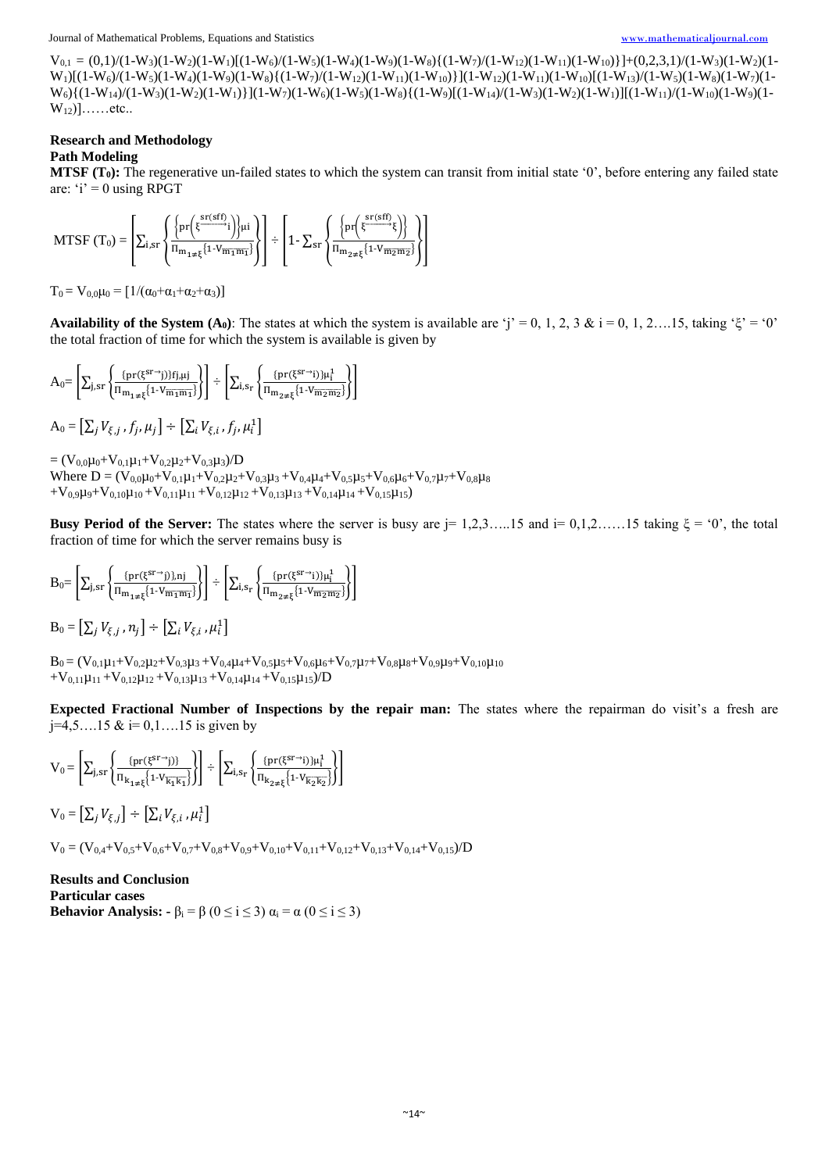Journal of Mathematical Problems, Equations and Statistics [www.mathematicaljournal.com](file://///server/test/mathematicaljournal.com/issue/1%20Vol/1%20issue/www.mathematicaljournal.com)

 $V_{0,1} = (0,1)/(1-W_3)(1-W_1)[(1-W_6)/(1-W_5)(1-W_4)(1-W_9)(1-W_8)(1-W_8)(1-W_{12})(1-W_{11})(1-W_{10})]+(0,2,3,1)/(1-W_3)(1-W_2)(1-W_1)(1-W_1)(1-W_1)(1-W_{11})(1-W_{12})(1-W_{12})(1-W_{11})(1-W_{12})(1-W_{11})(1-W_{12})(1-W_{12})(1-W_{11})(1-W_{12})(1-W_{12})(1-W_{12})(1-W_{12})(1-W_{12})(1-W_{12})(1-W_{12})(1-W_{12})(1-W_{12})(1-W_{12})($  $W_1$ [(1-W<sub>6</sub>)/(1-W<sub>5</sub>)(1-W<sub>9</sub>)(1-W<sub>9</sub>)(1-W<sub>9</sub>){(1-W<sub>7</sub>)/(1-W<sub>12</sub>)(1-W<sub>11</sub>)(1-W<sub>10</sub>)}](1-W<sub>12</sub>)(1-W<sub>11</sub>)(1-W<sub>11</sub>)(1-W<sub>11</sub>)(1-W<sub>12</sub>)(1-W<sub>11</sub>)(1-W<sub>11</sub>)(1-W<sub>11</sub>)(1-W<sub>11</sub>)(1-W<sub>11</sub>)(1-W<sub>11</sub>)(1-W<sub>11</sub>)(1-W<sub>11</sub>)(1-W<sub>11</sub>)(1-W<sub>13</sub>)  $W_6$  { $(1-W_{14})/(1-W_3)(1-W_2)(1-W_1)$ } $(1-W_7)(1-W_6)(1-W_5)(1-W_8)$  { $(1-W_{14})/(1-W_{14})/(1-W_3)(1-W_2)(1-W_{11})/(1-W_{10})(1-W_9)(1-W_{11})$  $W_{12})]$ ......etc..

## **Research and Methodology**

## **Path Modeling**

**MTSF (T0):** The regenerative un-failed states to which the system can transit from initial state '0', before entering any failed state are:  $i' = 0$  using RPGT

$$
MTSF\left (T_{0} \right )=\left [ \Sigma_{i,sr} \left \{ \frac{\left \{pr\Big(\xi^{\frac{sr(sff)}{2}}i\Big)\right \}\mu i}{\pi_{m_{1\neq \xi}}\{1\cdot V_{m_{1}m_{1}}\}}\right \}\right ]\div \left [1-\Sigma_{sr} \left \{ \frac{\left \{pr\Big(\xi^{\frac{sr(sff)}{2}}\xi\Big)\right \}}{\pi_{m_{2\neq \xi}}\{1\cdot V_{m_{2}m_{2}}\}}\right \}\right ]
$$

 $T_0 = V_{0,0}\mu_0 = [1/(\alpha_0+\alpha_1+\alpha_2+\alpha_3)]$ 

**Availability of the System (A<sub>0</sub>**): The states at which the system is available are 'j' = 0, 1, 2, 3 & i = 0, 1, 2….15, taking 'ξ' = '0' the total fraction of time for which the system is available is given by

$$
A_0\!\!=\!\left[\Sigma_{j,sr}\!\left\{\!\frac{\!\!\{\mathrm{pr}(\xi^{sr\rightarrow j)}\!\!\}f_{j,\mu j}}{\Pi_{m_1\neq\xi}\!\!\left\{1\!\cdot\!V_{m_1m_1}\!\right\}\!\right\}\!\right]\div\left[\Sigma_{i,s_r}\!\left\{\!\frac{\!\!\{\mathrm{pr}(\xi^{sr\rightarrow j)}\}\!\!\mu_i^1}{\Pi_{m_2\neq\xi}\!\!\left\{1\!\cdot\!V_{m_2m_2}\!\right\}\!\right\}\!\right]
$$

 $A_0 = \left[ \sum_j V_{\xi,j}^{\phantom{\dag}}, f_j^{\phantom{\dag}}, \mu_j^{\phantom{\dag}} \right] \div \left[ \sum_i V_{\xi,i}^{\phantom{\dag}}, f_j^{\phantom{\dag}}, \mu_i^{\phantom{\dag}} \right]$ 

 $=(V_{0,0}\mu_0+V_{0,1}\mu_1+V_{0,2}\mu_2+V_{0,3}\mu_3)/D$ Where  $D = (V_{0,0}\mu_0 + V_{0,1}\mu_1 + V_{0,2}\mu_2 + V_{0,3}\mu_3 + V_{0,4}\mu_4 + V_{0,5}\mu_5 + V_{0,6}\mu_6 + V_{0,7}\mu_7 + V_{0,8}\mu_8)$  $+V_{0,9}\mu_{9}+V_{0,10}\mu_{10}+V_{0,11}\mu_{11}+V_{0,12}\mu_{12}+V_{0,13}\mu_{13}+V_{0,14}\mu_{14}+V_{0,15}\mu_{15})$ 

**Busy Period of the Server:** The states where the server is busy are j= 1,2,3…..15 and i=  $0,1,2,\ldots.15$  taking  $\xi = 0$ ', the total fraction of time for which the server remains busy is

$$
B_0\!\!=\!\left[\Sigma_{j,sr}\!\left\{\!\frac{\!\!\left\{\!pr(\xi^{sr\!-\!\gamma\!})\!\right\}\!,\!nj}{\Pi_{m_{1\neq\xi}}\!\!\left\{\!1\!\cdot\!V_{\overline{m_1m_1}}\!\right\}\!\right\}\!\right]\div\left[\!\sum_{i,s_r}\!\left\{\!\frac{\!\!\left\{\!pr(\xi^{sr\!-\!\gamma\!})\!\right\}\!\mu_i^1}{\Pi_{m_{2\neq\xi}}\!\!\left\{\!1\!\cdot\!V_{\overline{m_2m_2}}\!\right\}\!\right\}\!\right]
$$

 $\mathrm{B}_0 = \left[ \sum_j V_{\xi,j}$  ,  $n_j \right] \div \left[ \sum_i V_{\xi,i}$  ,  $\mu_i^1 \right]$ 

 $B_0 = (V_{0,1}\mu_1 + V_{0,2}\mu_2 + V_{0,3}\mu_3 + V_{0,4}\mu_4 + V_{0,5}\mu_5 + V_{0,6}\mu_6 + V_{0,7}\mu_7 + V_{0,8}\mu_8 + V_{0,9}\mu_9 + V_{0,10}\mu_{10}$  $+V_{0,11}\mu_{11}+V_{0,12}\mu_{12}+V_{0,13}\mu_{13}+V_{0,14}\mu_{14}+V_{0,15}\mu_{15})/D$ 

**Expected Fractional Number of Inspections by the repair man:** The states where the repairman do visit's a fresh are  $j=4,5...15 \& i=0,1...15$  is given by

$$
V_0\!=\!\left[\Sigma_{j,sr}\left\{\!\frac{\{\mathrm{pr}(\xi^{sr\rightarrow j})\}}{\Pi_{k_{1\neq\xi}}\!\left\{1\cdot\!V_{\overline{k_1k_1}}\right\}}\!\right)\!\right]\div\left[\!\sum_{i,s_r}\left\{\!\frac{\{\mathrm{pr}(\xi^{sr\rightarrow i})\}\mu_i^1}{\Pi_{k_{2\neq\xi}}\!\left\{1\cdot\!V_{\overline{k_2k_2}}\right\}}\!\right)\!\right]
$$

 $V_0 = \left[ \sum_j V_{\xi,j} \right] \div \left[ \sum_i V_{\xi,i} , \mu_i^1 \right]$ 

 $V_0 = (V_{0.4} + V_{0.5} + V_{0.6} + V_{0.7} + V_{0.8} + V_{0.9} + V_{0.10} + V_{0.11} + V_{0.12} + V_{0.13} + V_{0.14} + V_{0.15})/D$ 

**Results and Conclusion Particular cases Behavior Analysis:**  $-\beta_i = \beta$  ( $0 \le i \le 3$ )  $\alpha_i = \alpha$  ( $0 \le i \le 3$ )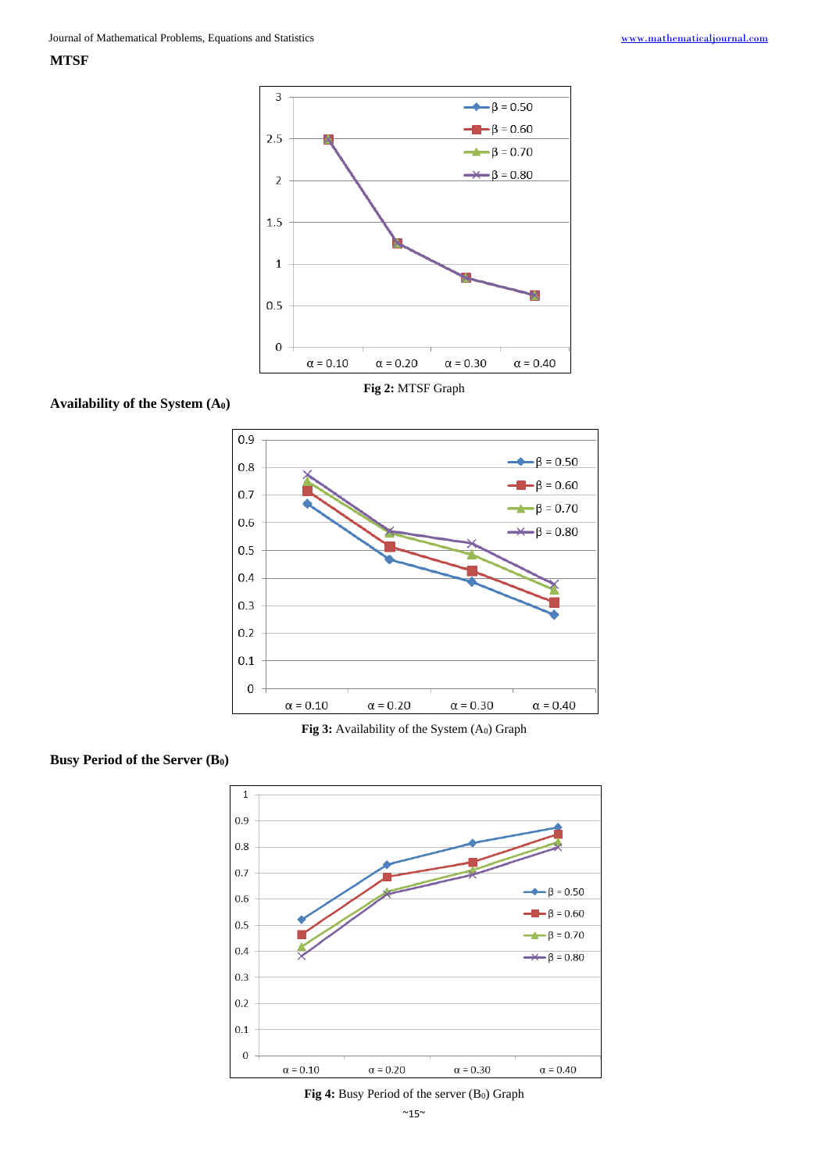**MTSF**



**Availability of the System (A0)**



**Fig 3:** Availability of the System (A0) Graph





Fig 4: Busy Period of the server (B<sub>0</sub>) Graph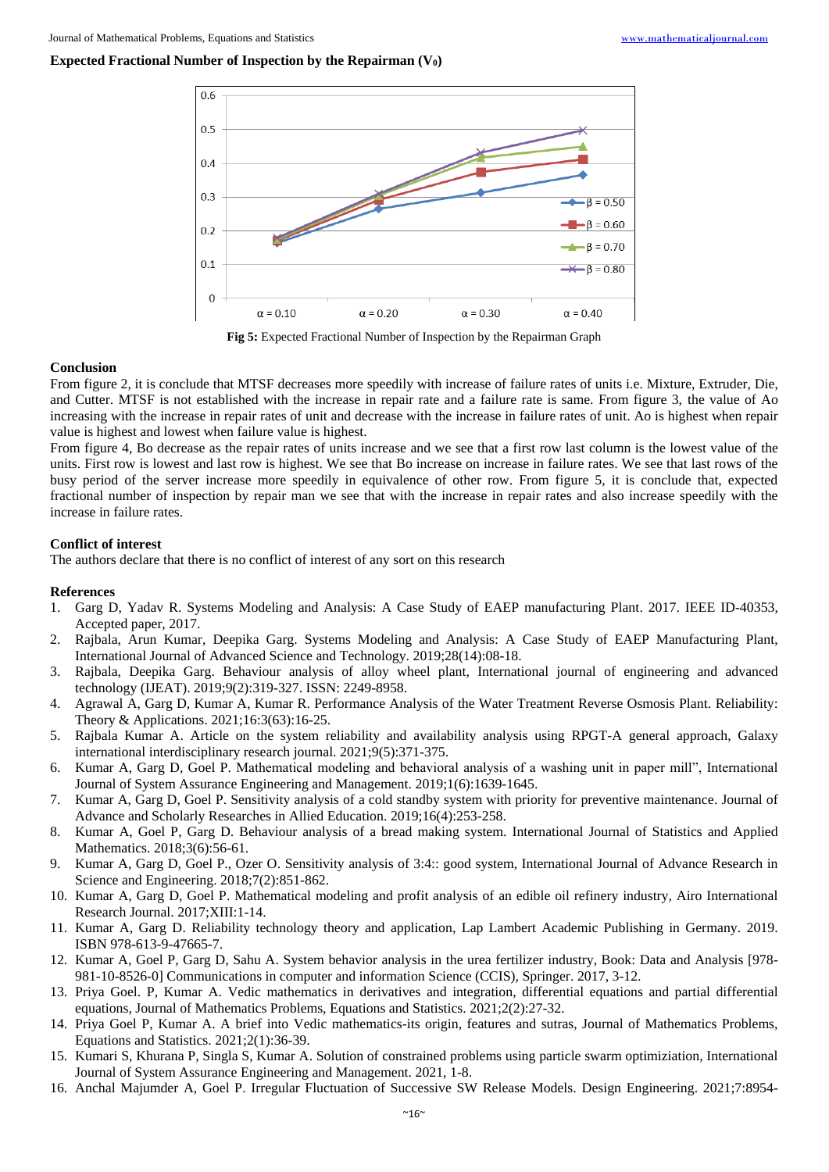### **Expected Fractional Number of Inspection by the Repairman (V0)**



**Fig 5:** Expected Fractional Number of Inspection by the Repairman Graph

#### **Conclusion**

From figure 2, it is conclude that MTSF decreases more speedily with increase of failure rates of units i.e. Mixture, Extruder, Die, and Cutter. MTSF is not established with the increase in repair rate and a failure rate is same. From figure 3, the value of Ao increasing with the increase in repair rates of unit and decrease with the increase in failure rates of unit. Ao is highest when repair value is highest and lowest when failure value is highest.

From figure 4, Bo decrease as the repair rates of units increase and we see that a first row last column is the lowest value of the units. First row is lowest and last row is highest. We see that Bo increase on increase in failure rates. We see that last rows of the busy period of the server increase more speedily in equivalence of other row. From figure 5, it is conclude that, expected fractional number of inspection by repair man we see that with the increase in repair rates and also increase speedily with the increase in failure rates.

#### **Conflict of interest**

The authors declare that there is no conflict of interest of any sort on this research

#### **References**

- 1. Garg D, Yadav R. Systems Modeling and Analysis: A Case Study of EAEP manufacturing Plant. 2017. IEEE ID-40353, Accepted paper, 2017.
- 2. Rajbala, Arun Kumar, Deepika Garg. Systems Modeling and Analysis: A Case Study of EAEP Manufacturing Plant, International Journal of Advanced Science and Technology. 2019;28(14):08-18.
- 3. Rajbala, Deepika Garg. Behaviour analysis of alloy wheel plant, International journal of engineering and advanced technology (IJEAT). 2019;9(2):319-327. ISSN: 2249-8958.
- 4. Agrawal A, Garg D, Kumar A, Kumar R. Performance Analysis of the Water Treatment Reverse Osmosis Plant. Reliability: Theory & Applications. 2021;16:3(63):16-25.
- 5. Rajbala Kumar A. Article on the system reliability and availability analysis using RPGT-A general approach, Galaxy international interdisciplinary research journal. 2021;9(5):371-375.
- 6. Kumar A, Garg D, Goel P. Mathematical modeling and behavioral analysis of a washing unit in paper mill", International Journal of System Assurance Engineering and Management. 2019;1(6):1639-1645.
- 7. Kumar A, Garg D, Goel P. Sensitivity analysis of a cold standby system with priority for preventive maintenance. Journal of Advance and Scholarly Researches in Allied Education. 2019;16(4):253-258.
- 8. Kumar A, Goel P, Garg D. Behaviour analysis of a bread making system. International Journal of Statistics and Applied Mathematics. 2018;3(6):56-61.
- 9. Kumar A, Garg D, Goel P., Ozer O. Sensitivity analysis of 3:4:: good system, International Journal of Advance Research in Science and Engineering. 2018;7(2):851-862.
- 10. Kumar A, Garg D, Goel P. Mathematical modeling and profit analysis of an edible oil refinery industry, Airo International Research Journal. 2017;XIII:1-14.
- 11. Kumar A, Garg D. Reliability technology theory and application, Lap Lambert Academic Publishing in Germany. 2019. ISBN 978-613-9-47665-7.
- 12. Kumar A, Goel P, Garg D, Sahu A. System behavior analysis in the urea fertilizer industry, Book: Data and Analysis [978- 981-10-8526-0] Communications in computer and information Science (CCIS), Springer. 2017, 3-12.
- 13. Priya Goel. P, Kumar A. Vedic mathematics in derivatives and integration, differential equations and partial differential equations, Journal of Mathematics Problems, Equations and Statistics. 2021;2(2):27-32.
- 14. Priya Goel P, Kumar A. A brief into Vedic mathematics-its origin, features and sutras, Journal of Mathematics Problems, Equations and Statistics. 2021;2(1):36-39.
- 15. Kumari S, Khurana P, Singla S, Kumar A. Solution of constrained problems using particle swarm optimiziation, International Journal of System Assurance Engineering and Management. 2021, 1-8.
- 16. Anchal Majumder A, Goel P. Irregular Fluctuation of Successive SW Release Models. Design Engineering. 2021;7:8954-